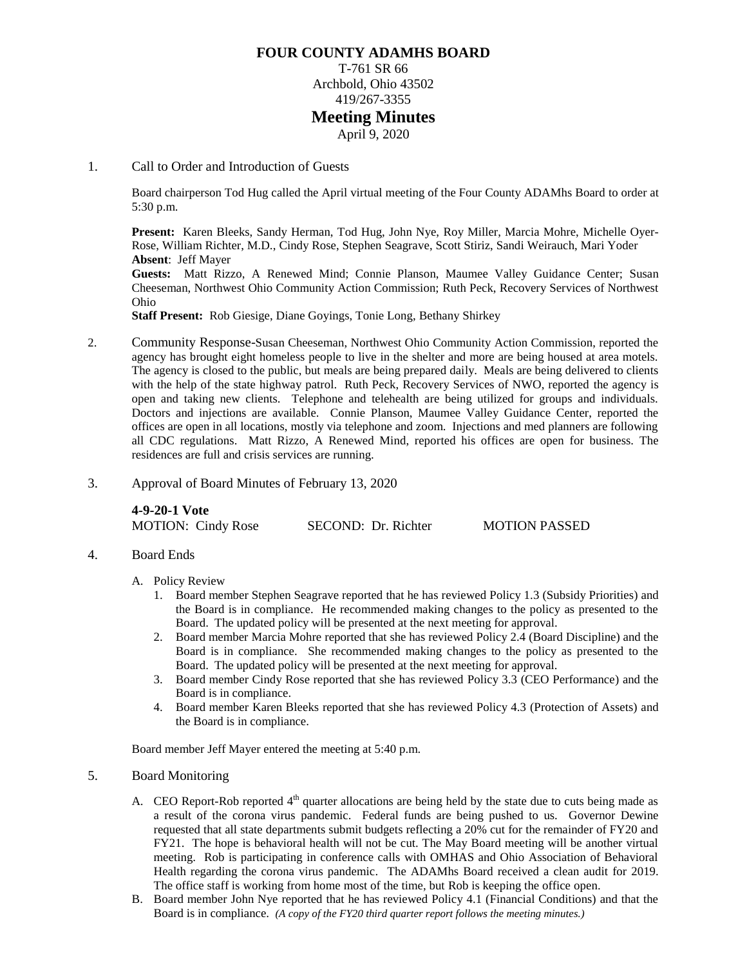### **FOUR COUNTY ADAMHS BOARD**

T-761 SR 66 Archbold, Ohio 43502 419/267-3355

## **Meeting Minutes**

April 9, 2020

#### 1. Call to Order and Introduction of Guests

Board chairperson Tod Hug called the April virtual meeting of the Four County ADAMhs Board to order at 5:30 p.m.

**Present:** Karen Bleeks, Sandy Herman, Tod Hug, John Nye, Roy Miller, Marcia Mohre, Michelle Oyer-Rose, William Richter, M.D., Cindy Rose, Stephen Seagrave, Scott Stiriz, Sandi Weirauch, Mari Yoder **Absent**: Jeff Mayer

**Guests:** Matt Rizzo, A Renewed Mind; Connie Planson, Maumee Valley Guidance Center; Susan Cheeseman, Northwest Ohio Community Action Commission; Ruth Peck, Recovery Services of Northwest Ohio

**Staff Present:** Rob Giesige, Diane Goyings, Tonie Long, Bethany Shirkey

- 2. Community Response-Susan Cheeseman, Northwest Ohio Community Action Commission, reported the agency has brought eight homeless people to live in the shelter and more are being housed at area motels. The agency is closed to the public, but meals are being prepared daily. Meals are being delivered to clients with the help of the state highway patrol. Ruth Peck, Recovery Services of NWO, reported the agency is open and taking new clients. Telephone and telehealth are being utilized for groups and individuals. Doctors and injections are available. Connie Planson, Maumee Valley Guidance Center, reported the offices are open in all locations, mostly via telephone and zoom. Injections and med planners are following all CDC regulations. Matt Rizzo, A Renewed Mind, reported his offices are open for business. The residences are full and crisis services are running.
- 3. Approval of Board Minutes of February 13, 2020

**4-9-20-1 Vote** MOTION: Cindy Rose SECOND: Dr. Richter MOTION PASSED

4. Board Ends

#### A. Policy Review

- 1. Board member Stephen Seagrave reported that he has reviewed Policy 1.3 (Subsidy Priorities) and the Board is in compliance. He recommended making changes to the policy as presented to the Board. The updated policy will be presented at the next meeting for approval.
- 2. Board member Marcia Mohre reported that she has reviewed Policy 2.4 (Board Discipline) and the Board is in compliance. She recommended making changes to the policy as presented to the Board. The updated policy will be presented at the next meeting for approval.
- 3. Board member Cindy Rose reported that she has reviewed Policy 3.3 (CEO Performance) and the Board is in compliance.
- 4. Board member Karen Bleeks reported that she has reviewed Policy 4.3 (Protection of Assets) and the Board is in compliance.

Board member Jeff Mayer entered the meeting at 5:40 p.m.

#### 5. Board Monitoring

- A. CEO Report-Rob reported  $4<sup>th</sup>$  quarter allocations are being held by the state due to cuts being made as a result of the corona virus pandemic. Federal funds are being pushed to us. Governor Dewine requested that all state departments submit budgets reflecting a 20% cut for the remainder of FY20 and FY21. The hope is behavioral health will not be cut. The May Board meeting will be another virtual meeting. Rob is participating in conference calls with OMHAS and Ohio Association of Behavioral Health regarding the corona virus pandemic. The ADAMhs Board received a clean audit for 2019. The office staff is working from home most of the time, but Rob is keeping the office open.
- B. Board member John Nye reported that he has reviewed Policy 4.1 (Financial Conditions) and that the Board is in compliance. *(A copy of the FY20 third quarter report follows the meeting minutes.)*